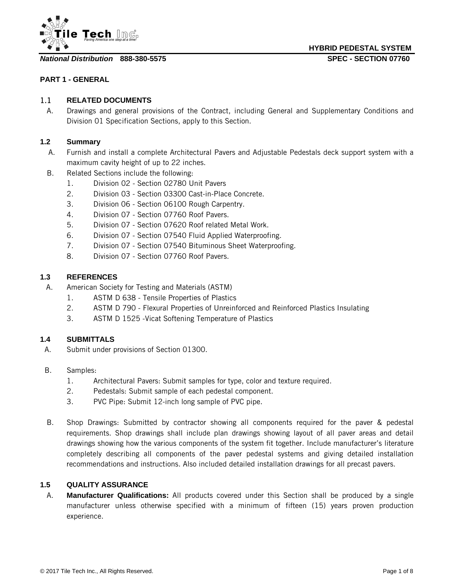

**HYBRID PEDESTAL SYSTEM**

**PART 1 - GENERAL**

#### 1.1 **RELATED DOCUMENTS**

A. Drawings and general provisions of the Contract, including General and Supplementary Conditions and Division 01 Specification Sections, apply to this Section.

#### **1.2 Summary**

- A. Furnish and install a complete Architectural Pavers and Adjustable Pedestals deck support system with a maximum cavity height of up to 22 inches.
- B. Related Sections include the following:
	- 1. Division 02 Section 02780 Unit Pavers
	- 2. Division 03 Section 03300 Cast-in-Place Concrete.
	- 3. Division 06 Section 06100 Rough Carpentry.
	- 4. Division 07 Section 07760 Roof Pavers.
	- 5. Division 07 Section 07620 Roof related Metal Work.
	- 6. Division 07 Section 07540 Fluid Applied Waterproofing.
	- 7. Division 07 Section 07540 Bituminous Sheet Waterproofing.
	- 8. Division 07 Section 07760 Roof Pavers.

#### **1.3 REFERENCES**

- A. American Society for Testing and Materials (ASTM)
	- 1. ASTM D 638 Tensile Properties of Plastics
	- 2. ASTM D 790 Flexural Properties of Unreinforced and Reinforced Plastics Insulating
	- 3. ASTM D 1525 -Vicat Softening Temperature of Plastics

#### **1.4 SUBMITTALS**

- A. Submit under provisions of Section 01300.
- B. Samples:
	- 1. Architectural Pavers: Submit samples for type, color and texture required.
	- 2. Pedestals: Submit sample of each pedestal component.
	- 3. PVC Pipe: Submit 12-inch long sample of PVC pipe.
- B. Shop Drawings: Submitted by contractor showing all components required for the paver & pedestal requirements. Shop drawings shall include plan drawings showing layout of all paver areas and detail drawings showing how the various components of the system fit together. Include manufacturer's literature completely describing all components of the paver pedestal systems and giving detailed installation recommendations and instructions. Also included detailed installation drawings for all precast pavers.

#### **1.5 QUALITY ASSURANCE**

A. **Manufacturer Qualifications:** All products covered under this Section shall be produced by a single manufacturer unless otherwise specified with a minimum of fifteen (15) years proven production experience.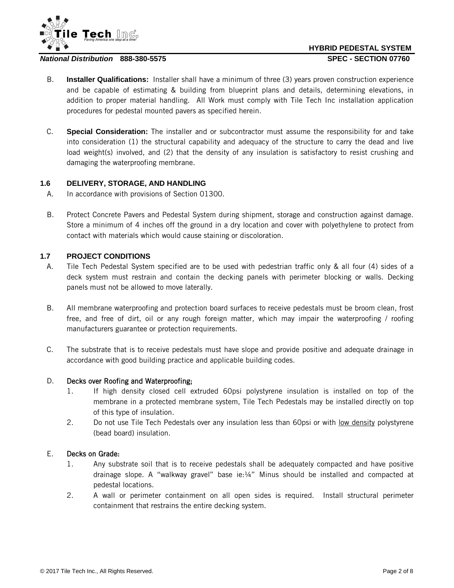



- B. **Installer Qualifications:** Installer shall have a minimum of three (3) years proven construction experience and be capable of estimating & building from blueprint plans and details, determining elevations, in addition to proper material handling. All Work must comply with Tile Tech Inc installation application procedures for pedestal mounted pavers as specified herein.
- C. **Special Consideration:** The installer and or subcontractor must assume the responsibility for and take into consideration (1) the structural capability and adequacy of the structure to carry the dead and live load weight(s) involved, and (2) that the density of any insulation is satisfactory to resist crushing and damaging the waterproofing membrane.

#### **1.6 DELIVERY, STORAGE, AND HANDLING**

- A. In accordance with provisions of Section 01300.
- B. Protect Concrete Pavers and Pedestal System during shipment, storage and construction against damage. Store a minimum of 4 inches off the ground in a dry location and cover with polyethylene to protect from contact with materials which would cause staining or discoloration.

#### **1.7 PROJECT CONDITIONS**

- A. Tile Tech Pedestal System specified are to be used with pedestrian traffic only & all four (4) sides of a deck system must restrain and contain the decking panels with perimeter blocking or walls. Decking panels must not be allowed to move laterally.
- B. All membrane waterproofing and protection board surfaces to receive pedestals must be broom clean, frost free, and free of dirt, oil or any rough foreign matter, which may impair the waterproofing / roofing manufacturers guarantee or protection requirements.
- C. The substrate that is to receive pedestals must have slope and provide positive and adequate drainage in accordance with good building practice and applicable building codes.

#### D. Decks over Roofing and Waterproofing;

- 1. If high density closed cell extruded 60psi polystyrene insulation is installed on top of the membrane in a protected membrane system, Tile Tech Pedestals may be installed directly on top of this type of insulation.
- 2. Do not use Tile Tech Pedestals over any insulation less than 60psi or with low density polystyrene (bead board) insulation.

#### E. Decks on Grade:

- 1. Any substrate soil that is to receive pedestals shall be adequately compacted and have positive drainage slope. A "walkway gravel" base ie:¼" Minus should be installed and compacted at pedestal locations.
- 2. A wall or perimeter containment on all open sides is required. Install structural perimeter containment that restrains the entire decking system.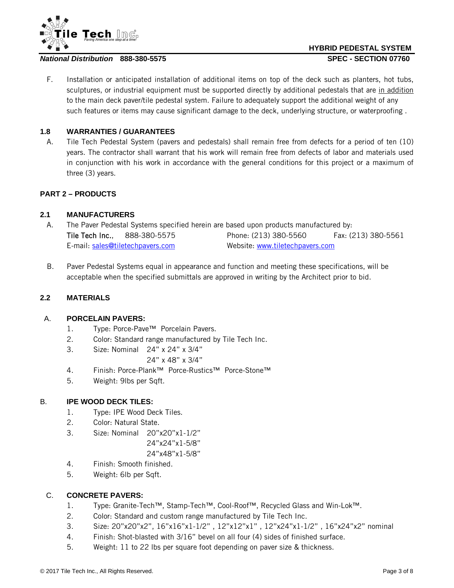

# **HYBRID PEDESTAL SYSTEM**

F. Installation or anticipated installation of additional items on top of the deck such as planters, hot tubs, sculptures, or industrial equipment must be supported directly by additional pedestals that are in addition to the main deck paver/tile pedestal system. Failure to adequately support the additional weight of any such features or items may cause significant damage to the deck, underlying structure, or waterproofing .

#### **1.8 WARRANTIES / GUARANTEES**

A. Tile Tech Pedestal System (pavers and pedestals) shall remain free from defects for a period of ten (10) years. The contractor shall warrant that his work will remain free from defects of labor and materials used in conjunction with his work in accordance with the general conditions for this project or a maximum of three (3) years.

#### **PART 2 – PRODUCTS**

#### **2.1 MANUFACTURERS**

- A. The Paver Pedestal Systems specified herein are based upon products manufactured by: Tile Tech Inc., 888-380-5575 Phone: (213) 380-5560 Fax: (213) 380-5561 E-mail: [sales@tiletechpavers.com](mailto:sales@tiletechpavers.com) Website: [www.tiletechpavers.com](http://www.tiletechpavers.com/)
- B. Paver Pedestal Systems equal in appearance and function and meeting these specifications, will be acceptable when the specified submittals are approved in writing by the Architect prior to bid.

#### **2.2 MATERIALS**

#### A. **PORCELAIN PAVERS:**

- 1. Type: Porce-Pave™ Porcelain Pavers.
- 2. Color: Standard range manufactured by Tile Tech Inc.
- 3. Size: Nominal 24" x 24" x 3/4"

24" x 48" x 3/4"

- 4. Finish: Porce-Plank™ Porce-Rustics™ Porce-Stone™
- 5. Weight: 9lbs per Sqft.

#### B. **IPE WOOD DECK TILES:**

- 1. Type: IPE Wood Deck Tiles.
- 2. Color: Natural State.
- 3. Size: Nominal 20"x20"x1-1/2"
	- 24"x24"x1-5/8"

#### 24"x48"x1-5/8"

- 4. Finish: Smooth finished.
- 5. Weight: 6lb per Sqft.

#### C. **CONCRETE PAVERS:**

- 1. Type: Granite-Tech™, Stamp-Tech™, Cool-Roof™, Recycled Glass and Win-Lok™.
- 2. Color: Standard and custom range manufactured by Tile Tech Inc.
- 3. Size: 20"x20"x2", 16"x16"x1-1/2" , 12"x12"x1" , 12"x24"x1-1/2" , 16"x24"x2" nominal
- 4. Finish: Shot-blasted with 3/16" bevel on all four (4) sides of finished surface.
- 5. Weight: 11 to 22 lbs per square foot depending on paver size & thickness.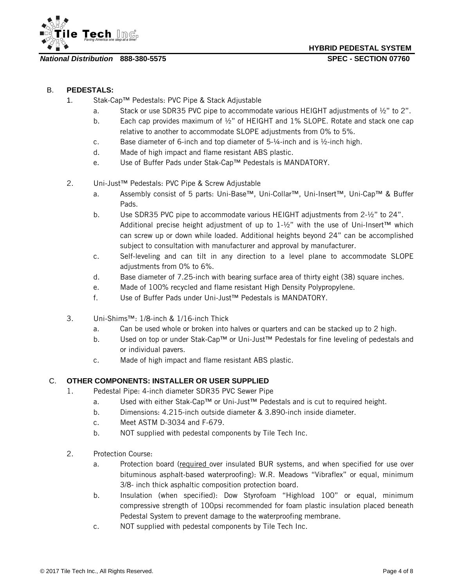

**HYBRID PEDESTAL SYSTEM**

#### B. **PEDESTALS:**

- 1. Stak-Cap™ Pedestals: PVC Pipe & Stack Adjustable
	- a. Stack or use SDR35 PVC pipe to accommodate various HEIGHT adjustments of ½" to 2".
	- b. Each cap provides maximum of  $\frac{1}{2}$ " of HEIGHT and 1% SLOPE. Rotate and stack one cap relative to another to accommodate SLOPE adjustments from 0% to 5%.
	- c. Base diameter of 6-inch and top diameter of  $5-\frac{1}{4}$ -inch and is  $\frac{1}{2}$ -inch high.
	- d. Made of high impact and flame resistant ABS plastic.
	- e. Use of Buffer Pads under Stak-Cap™ Pedestals is MANDATORY.
- 2. Uni-Just™ Pedestals: PVC Pipe & Screw Adjustable
	- a. Assembly consist of 5 parts: Uni-Base™, Uni-Collar™, Uni-Insert™, Uni-Cap™ & Buffer Pads.
	- b. Use SDR35 PVC pipe to accommodate various HEIGHT adjustments from 2-½" to 24". Additional precise height adjustment of up to 1-½" with the use of Uni-Insert™ which can screw up or down while loaded. Additional heights beyond 24" can be accomplished subject to consultation with manufacturer and approval by manufacturer.
	- c. Self-leveling and can tilt in any direction to a level plane to accommodate SLOPE adjustments from 0% to 6%.
	- d. Base diameter of 7.25-inch with bearing surface area of thirty eight (38) square inches.
	- e. Made of 100% recycled and flame resistant High Density Polypropylene.
	- f. Use of Buffer Pads under Uni-Just™ Pedestals is MANDATORY.
- 3. Uni-Shims™: 1/8-inch & 1/16-inch Thick
	- a. Can be used whole or broken into halves or quarters and can be stacked up to 2 high.
	- b. Used on top or under Stak-Cap™ or Uni-Just™ Pedestals for fine leveling of pedestals and or individual pavers.
	- c. Made of high impact and flame resistant ABS plastic.

#### C. **OTHER COMPONENTS: INSTALLER OR USER SUPPLIED**

- 1. Pedestal Pipe: 4-inch diameter SDR35 PVC Sewer Pipe
	- a. Used with either Stak-Cap™ or Uni-Just™ Pedestals and is cut to required height.
	- b. Dimensions: 4.215-inch outside diameter & 3.890-inch inside diameter.
	- c. Meet ASTM D-3034 and F-679.
	- b. NOT supplied with pedestal components by Tile Tech Inc.
- 2. Protection Course:
	- a. Protection board (required over insulated BUR systems, and when specified for use over bituminous asphalt-based waterproofing): W.R. Meadows "Vibraflex" or equal, minimum 3/8- inch thick asphaltic composition protection board.
	- b. Insulation (when specified): Dow Styrofoam "Highload 100" or equal, minimum compressive strength of 100psi recommended for foam plastic insulation placed beneath Pedestal System to prevent damage to the waterproofing membrane.
	- c. NOT supplied with pedestal components by Tile Tech Inc.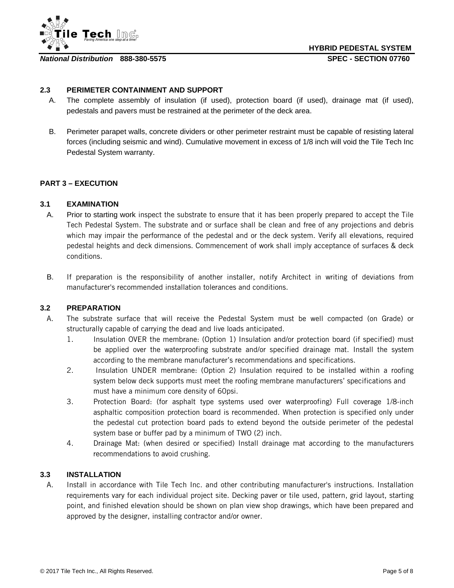

#### **2.3 PERIMETER CONTAINMENT AND SUPPORT**

- A. The complete assembly of insulation (if used), protection board (if used), drainage mat (if used), pedestals and pavers must be restrained at the perimeter of the deck area.
- B. Perimeter parapet walls, concrete dividers or other perimeter restraint must be capable of resisting lateral forces (including seismic and wind). Cumulative movement in excess of 1/8 inch will void the Tile Tech Inc Pedestal System warranty.

#### **PART 3 – EXECUTION**

#### **3.1 EXAMINATION**

- A. Prior to starting work inspect the substrate to ensure that it has been properly prepared to accept the Tile Tech Pedestal System. The substrate and or surface shall be clean and free of any projections and debris which may impair the performance of the pedestal and or the deck system. Verify all elevations, required pedestal heights and deck dimensions. Commencement of work shall imply acceptance of surfaces & deck conditions.
- B. If preparation is the responsibility of another installer, notify Architect in writing of deviations from manufacturer's recommended installation tolerances and conditions.

#### **3.2 PREPARATION**

- A. The substrate surface that will receive the Pedestal System must be well compacted (on Grade) or structurally capable of carrying the dead and live loads anticipated.
	- 1. Insulation OVER the membrane: (Option 1) Insulation and/or protection board (if specified) must be applied over the waterproofing substrate and/or specified drainage mat. Install the system according to the membrane manufacturer's recommendations and specifications.
	- 2. Insulation UNDER membrane: (Option 2) Insulation required to be installed within a roofing system below deck supports must meet the roofing membrane manufacturers' specifications and must have a minimum core density of 60psi.
	- 3. Protection Board: (for asphalt type systems used over waterproofing) Full coverage 1/8-inch asphaltic composition protection board is recommended. When protection is specified only under the pedestal cut protection board pads to extend beyond the outside perimeter of the pedestal system base or buffer pad by a minimum of TWO (2) inch.
	- 4. Drainage Mat: (when desired or specified) Install drainage mat according to the manufacturers recommendations to avoid crushing.

#### **3.3 INSTALLATION**

A. Install in accordance with Tile Tech Inc. and other contributing manufacturer's instructions. Installation requirements vary for each individual project site. Decking paver or tile used, pattern, grid layout, starting point, and finished elevation should be shown on plan view shop drawings, which have been prepared and approved by the designer, installing contractor and/or owner.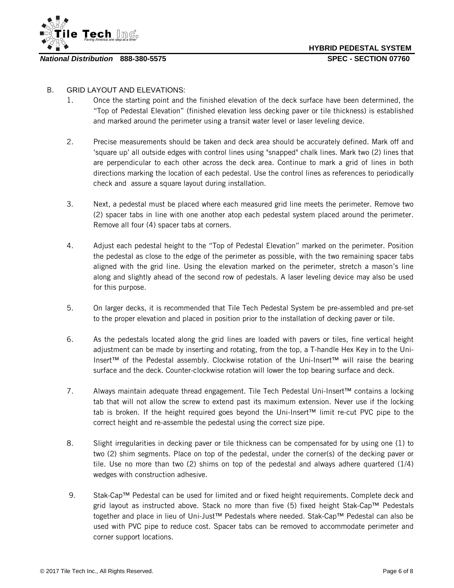

#### B. GRID LAYOUT AND ELEVATIONS:

- 1. Once the starting point and the finished elevation of the deck surface have been determined, the "Top of Pedestal Elevation" (finished elevation less decking paver or tile thickness) is established and marked around the perimeter using a transit water level or laser leveling device.
- 2. Precise measurements should be taken and deck area should be accurately defined. Mark off and 'square up' all outside edges with control lines using "snapped" chalk lines. Mark two (2) lines that are perpendicular to each other across the deck area. Continue to mark a grid of lines in both directions marking the location of each pedestal. Use the control lines as references to periodically check and assure a square layout during installation.
- 3. Next, a pedestal must be placed where each measured grid line meets the perimeter. Remove two (2) spacer tabs in line with one another atop each pedestal system placed around the perimeter. Remove all four (4) spacer tabs at corners.
- 4. Adjust each pedestal height to the "Top of Pedestal Elevation" marked on the perimeter. Position the pedestal as close to the edge of the perimeter as possible, with the two remaining spacer tabs aligned with the grid line. Using the elevation marked on the perimeter, stretch a mason's line along and slightly ahead of the second row of pedestals. A laser leveling device may also be used for this purpose.
- 5. On larger decks, it is recommended that Tile Tech Pedestal System be pre-assembled and pre-set to the proper elevation and placed in position prior to the installation of decking paver or tile.
- 6. As the pedestals located along the grid lines are loaded with pavers or tiles, fine vertical height adjustment can be made by inserting and rotating, from the top, a T-handle Hex Key in to the Uni-Insert™ of the Pedestal assembly. Clockwise rotation of the Uni-Insert™ will raise the bearing surface and the deck. Counter-clockwise rotation will lower the top bearing surface and deck.
- 7. Always maintain adequate thread engagement. Tile Tech Pedestal Uni-Insert™ contains a locking tab that will not allow the screw to extend past its maximum extension. Never use if the locking tab is broken. If the height required goes beyond the Uni-Insert™ limit re-cut PVC pipe to the correct height and re-assemble the pedestal using the correct size pipe.
- 8. Slight irregularities in decking paver or tile thickness can be compensated for by using one (1) to two (2) shim segments. Place on top of the pedestal, under the corner(s) of the decking paver or tile. Use no more than two (2) shims on top of the pedestal and always adhere quartered (1/4) wedges with construction adhesive.
- 9. Stak-Cap™ Pedestal can be used for limited and or fixed height requirements. Complete deck and grid layout as instructed above. Stack no more than five (5) fixed height Stak-Cap™ Pedestals together and place in lieu of Uni-Just™ Pedestals where needed. Stak-Cap™ Pedestal can also be used with PVC pipe to reduce cost. Spacer tabs can be removed to accommodate perimeter and corner support locations.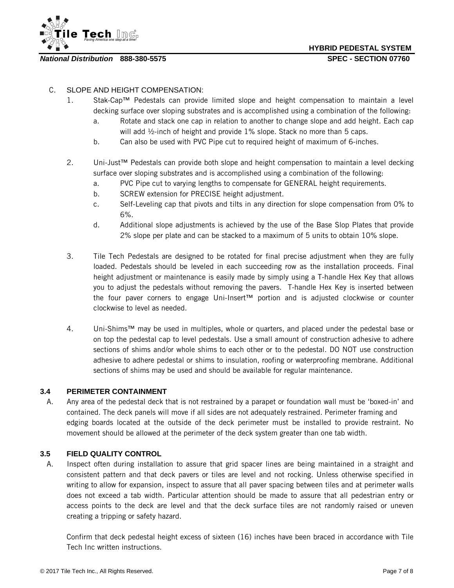

#### C. SLOPE AND HEIGHT COMPENSATION:

- 1. Stak-Cap™ Pedestals can provide limited slope and height compensation to maintain a level decking surface over sloping substrates and is accomplished using a combination of the following:
	- a. Rotate and stack one cap in relation to another to change slope and add height. Each cap will add ½-inch of height and provide 1% slope. Stack no more than 5 caps.
	- b. Can also be used with PVC Pipe cut to required height of maximum of 6-inches.
- 2. Uni-Just™ Pedestals can provide both slope and height compensation to maintain a level decking surface over sloping substrates and is accomplished using a combination of the following:
	- a. PVC Pipe cut to varying lengths to compensate for GENERAL height requirements.
	- b. SCREW extension for PRECISE height adjustment.
	- c. Self-Leveling cap that pivots and tilts in any direction for slope compensation from 0% to 6%.
	- d. Additional slope adjustments is achieved by the use of the Base Slop Plates that provide 2% slope per plate and can be stacked to a maximum of 5 units to obtain 10% slope.
- 3. Tile Tech Pedestals are designed to be rotated for final precise adjustment when they are fully loaded. Pedestals should be leveled in each succeeding row as the installation proceeds. Final height adjustment or maintenance is easily made by simply using a T-handle Hex Key that allows you to adjust the pedestals without removing the pavers. T-handle Hex Key is inserted between the four paver corners to engage Uni-Insert™ portion and is adjusted clockwise or counter clockwise to level as needed.
- 4. Uni-Shims™ may be used in multiples, whole or quarters, and placed under the pedestal base or on top the pedestal cap to level pedestals. Use a small amount of construction adhesive to adhere sections of shims and/or whole shims to each other or to the pedestal. DO NOT use construction adhesive to adhere pedestal or shims to insulation, roofing or waterproofing membrane. Additional sections of shims may be used and should be available for regular maintenance.

#### **3.4 PERIMETER CONTAINMENT**

A. Any area of the pedestal deck that is not restrained by a parapet or foundation wall must be 'boxed-in' and contained. The deck panels will move if all sides are not adequately restrained. Perimeter framing and edging boards located at the outside of the deck perimeter must be installed to provide restraint. No movement should be allowed at the perimeter of the deck system greater than one tab width.

#### **3.5 FIELD QUALITY CONTROL**

A. Inspect often during installation to assure that grid spacer lines are being maintained in a straight and consistent pattern and that deck pavers or tiles are level and not rocking. Unless otherwise specified in writing to allow for expansion, inspect to assure that all paver spacing between tiles and at perimeter walls does not exceed a tab width. Particular attention should be made to assure that all pedestrian entry or access points to the deck are level and that the deck surface tiles are not randomly raised or uneven creating a tripping or safety hazard.

Confirm that deck pedestal height excess of sixteen (16) inches have been braced in accordance with Tile Tech Inc written instructions.